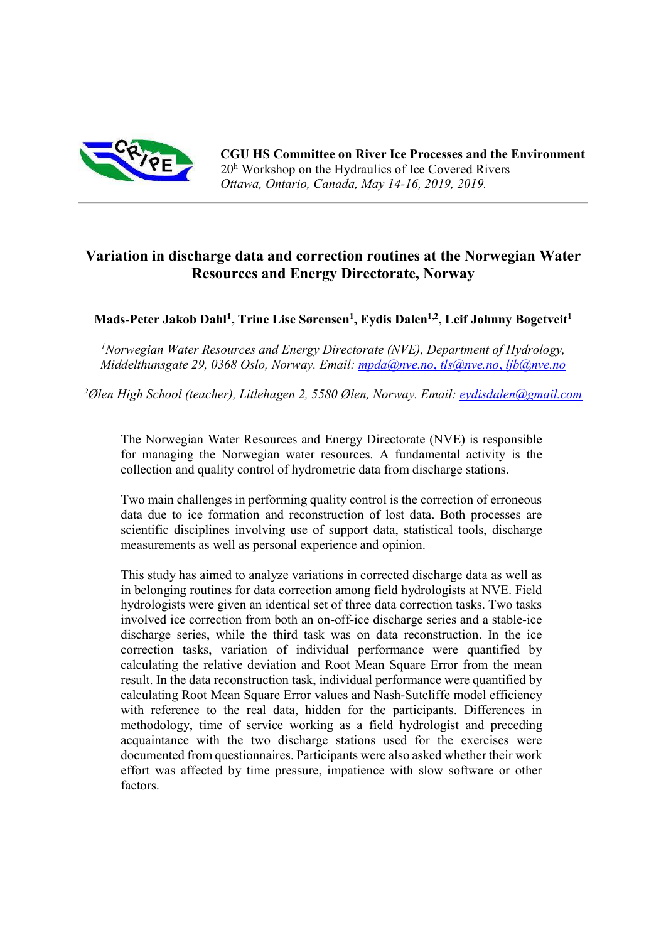

CGU HS Committee on River Ice Processes and the Environment 20<sup>h</sup> Workshop on the Hydraulics of Ice Covered Rivers Ottawa, Ontario, Canada, May 14-16, 2019, 2019.

# Variation in discharge data and correction routines at the Norwegian Water Resources and Energy Directorate, Norway

Mads-Peter Jakob Dahl<sup>1</sup>, Trine Lise Sørensen<sup>1</sup>, Eydis Dalen<sup>1,2</sup>, Leif Johnny Bogetveit<sup>1</sup>

<sup>1</sup>Norwegian Water Resources and Energy Directorate (NVE), Department of Hydrology, Middelthunsgate 29, 0368 Oslo, Norway. Email: mpda@nve.no, tls@nve.no, ljb@nve.no

<sup>2</sup>Ølen High School (teacher), Litlehagen 2, 5580 Ølen, Norway. Email: eydisdalen@gmail.com

The Norwegian Water Resources and Energy Directorate (NVE) is responsible for managing the Norwegian water resources. A fundamental activity is the collection and quality control of hydrometric data from discharge stations.

Two main challenges in performing quality control is the correction of erroneous data due to ice formation and reconstruction of lost data. Both processes are scientific disciplines involving use of support data, statistical tools, discharge measurements as well as personal experience and opinion.

This study has aimed to analyze variations in corrected discharge data as well as in belonging routines for data correction among field hydrologists at NVE. Field hydrologists were given an identical set of three data correction tasks. Two tasks involved ice correction from both an on-off-ice discharge series and a stable-ice discharge series, while the third task was on data reconstruction. In the ice correction tasks, variation of individual performance were quantified by calculating the relative deviation and Root Mean Square Error from the mean result. In the data reconstruction task, individual performance were quantified by calculating Root Mean Square Error values and Nash-Sutcliffe model efficiency with reference to the real data, hidden for the participants. Differences in methodology, time of service working as a field hydrologist and preceding acquaintance with the two discharge stations used for the exercises were documented from questionnaires. Participants were also asked whether their work effort was affected by time pressure, impatience with slow software or other factors.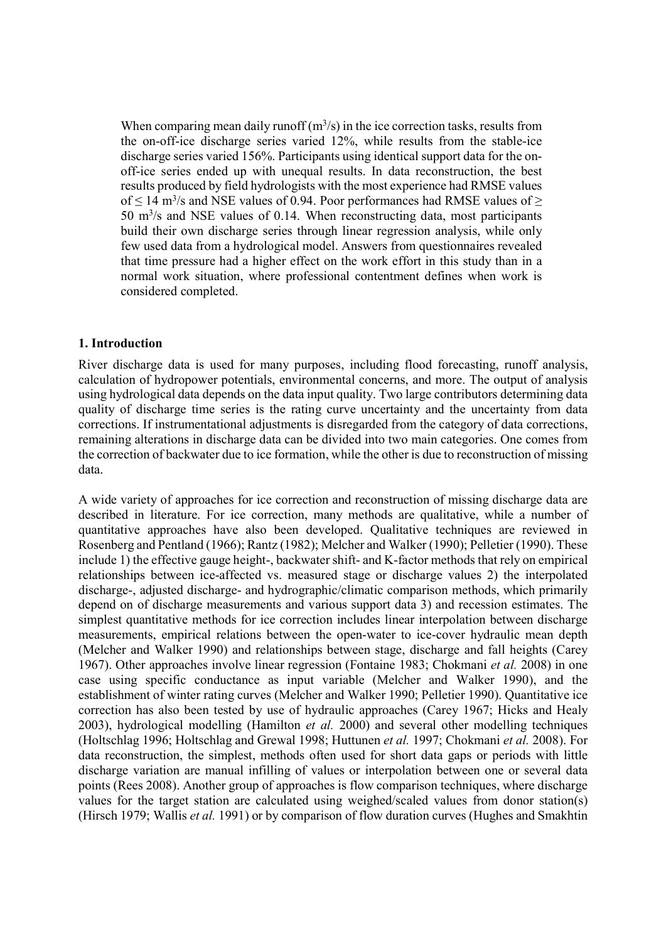When comparing mean daily runoff  $(m<sup>3</sup>/s)$  in the ice correction tasks, results from the on-off-ice discharge series varied 12%, while results from the stable-ice discharge series varied 156%. Participants using identical support data for the onoff-ice series ended up with unequal results. In data reconstruction, the best results produced by field hydrologists with the most experience had RMSE values of  $\leq 14$  m<sup>3</sup>/s and NSE values of 0.94. Poor performances had RMSE values of  $\geq$  $50 \text{ m}^3$ /s and NSE values of 0.14. When reconstructing data, most participants build their own discharge series through linear regression analysis, while only few used data from a hydrological model. Answers from questionnaires revealed that time pressure had a higher effect on the work effort in this study than in a normal work situation, where professional contentment defines when work is considered completed.

#### 1. Introduction

River discharge data is used for many purposes, including flood forecasting, runoff analysis, calculation of hydropower potentials, environmental concerns, and more. The output of analysis using hydrological data depends on the data input quality. Two large contributors determining data quality of discharge time series is the rating curve uncertainty and the uncertainty from data corrections. If instrumentational adjustments is disregarded from the category of data corrections, remaining alterations in discharge data can be divided into two main categories. One comes from the correction of backwater due to ice formation, while the other is due to reconstruction of missing data.

A wide variety of approaches for ice correction and reconstruction of missing discharge data are described in literature. For ice correction, many methods are qualitative, while a number of quantitative approaches have also been developed. Qualitative techniques are reviewed in Rosenberg and Pentland (1966); Rantz (1982); Melcher and Walker (1990); Pelletier (1990). These include 1) the effective gauge height-, backwater shift- and K-factor methods that rely on empirical relationships between ice-affected vs. measured stage or discharge values 2) the interpolated discharge-, adjusted discharge- and hydrographic/climatic comparison methods, which primarily depend on of discharge measurements and various support data 3) and recession estimates. The simplest quantitative methods for ice correction includes linear interpolation between discharge measurements, empirical relations between the open-water to ice-cover hydraulic mean depth (Melcher and Walker 1990) and relationships between stage, discharge and fall heights (Carey 1967). Other approaches involve linear regression (Fontaine 1983; Chokmani et al. 2008) in one case using specific conductance as input variable (Melcher and Walker 1990), and the establishment of winter rating curves (Melcher and Walker 1990; Pelletier 1990). Quantitative ice correction has also been tested by use of hydraulic approaches (Carey 1967; Hicks and Healy 2003), hydrological modelling (Hamilton et al. 2000) and several other modelling techniques (Holtschlag 1996; Holtschlag and Grewal 1998; Huttunen et al. 1997; Chokmani et al. 2008). For data reconstruction, the simplest, methods often used for short data gaps or periods with little discharge variation are manual infilling of values or interpolation between one or several data points (Rees 2008). Another group of approaches is flow comparison techniques, where discharge values for the target station are calculated using weighed/scaled values from donor station(s) (Hirsch 1979; Wallis et al. 1991) or by comparison of flow duration curves (Hughes and Smakhtin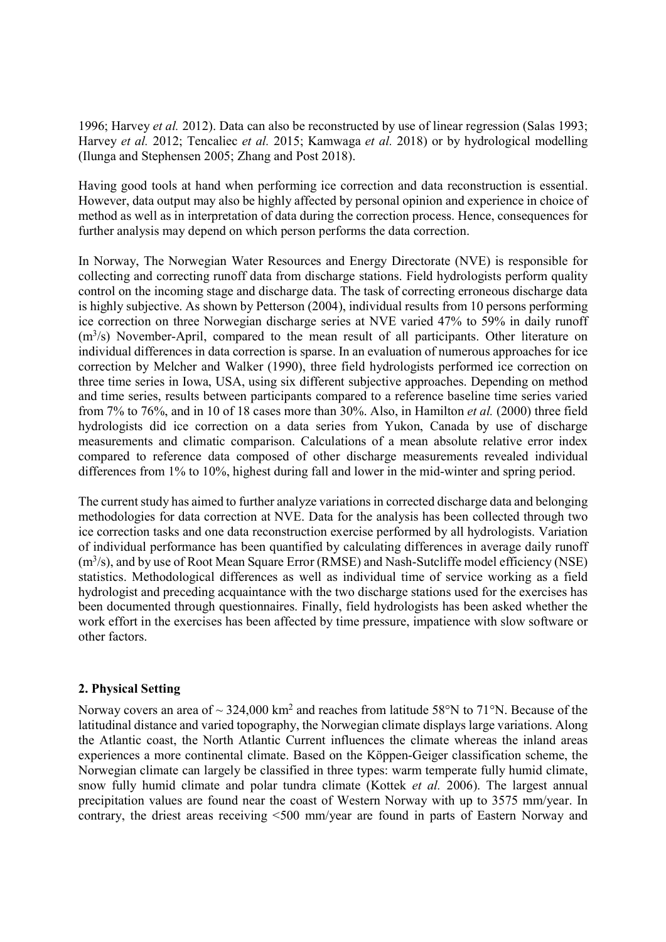1996; Harvey et al. 2012). Data can also be reconstructed by use of linear regression (Salas 1993; Harvey et al. 2012; Tencaliec et al. 2015; Kamwaga et al. 2018) or by hydrological modelling (Ilunga and Stephensen 2005; Zhang and Post 2018).

Having good tools at hand when performing ice correction and data reconstruction is essential. However, data output may also be highly affected by personal opinion and experience in choice of method as well as in interpretation of data during the correction process. Hence, consequences for further analysis may depend on which person performs the data correction.

In Norway, The Norwegian Water Resources and Energy Directorate (NVE) is responsible for collecting and correcting runoff data from discharge stations. Field hydrologists perform quality control on the incoming stage and discharge data. The task of correcting erroneous discharge data is highly subjective. As shown by Petterson (2004), individual results from 10 persons performing ice correction on three Norwegian discharge series at NVE varied 47% to 59% in daily runoff (m<sup>3</sup>/s) November-April, compared to the mean result of all participants. Other literature on individual differences in data correction is sparse. In an evaluation of numerous approaches for ice correction by Melcher and Walker (1990), three field hydrologists performed ice correction on three time series in Iowa, USA, using six different subjective approaches. Depending on method and time series, results between participants compared to a reference baseline time series varied from 7% to 76%, and in 10 of 18 cases more than 30%. Also, in Hamilton et al. (2000) three field hydrologists did ice correction on a data series from Yukon, Canada by use of discharge measurements and climatic comparison. Calculations of a mean absolute relative error index compared to reference data composed of other discharge measurements revealed individual differences from 1% to 10%, highest during fall and lower in the mid-winter and spring period.

The current study has aimed to further analyze variations in corrected discharge data and belonging methodologies for data correction at NVE. Data for the analysis has been collected through two ice correction tasks and one data reconstruction exercise performed by all hydrologists. Variation of individual performance has been quantified by calculating differences in average daily runoff  $(m<sup>3</sup>/s)$ , and by use of Root Mean Square Error (RMSE) and Nash-Sutcliffe model efficiency (NSE) statistics. Methodological differences as well as individual time of service working as a field hydrologist and preceding acquaintance with the two discharge stations used for the exercises has been documented through questionnaires. Finally, field hydrologists has been asked whether the work effort in the exercises has been affected by time pressure, impatience with slow software or other factors.

# 2. Physical Setting

Norway covers an area of  $\sim$  324,000 km<sup>2</sup> and reaches from latitude 58°N to 71°N. Because of the latitudinal distance and varied topography, the Norwegian climate displays large variations. Along the Atlantic coast, the North Atlantic Current influences the climate whereas the inland areas experiences a more continental climate. Based on the Köppen-Geiger classification scheme, the Norwegian climate can largely be classified in three types: warm temperate fully humid climate, snow fully humid climate and polar tundra climate (Kottek et al. 2006). The largest annual precipitation values are found near the coast of Western Norway with up to 3575 mm/year. In contrary, the driest areas receiving <500 mm/year are found in parts of Eastern Norway and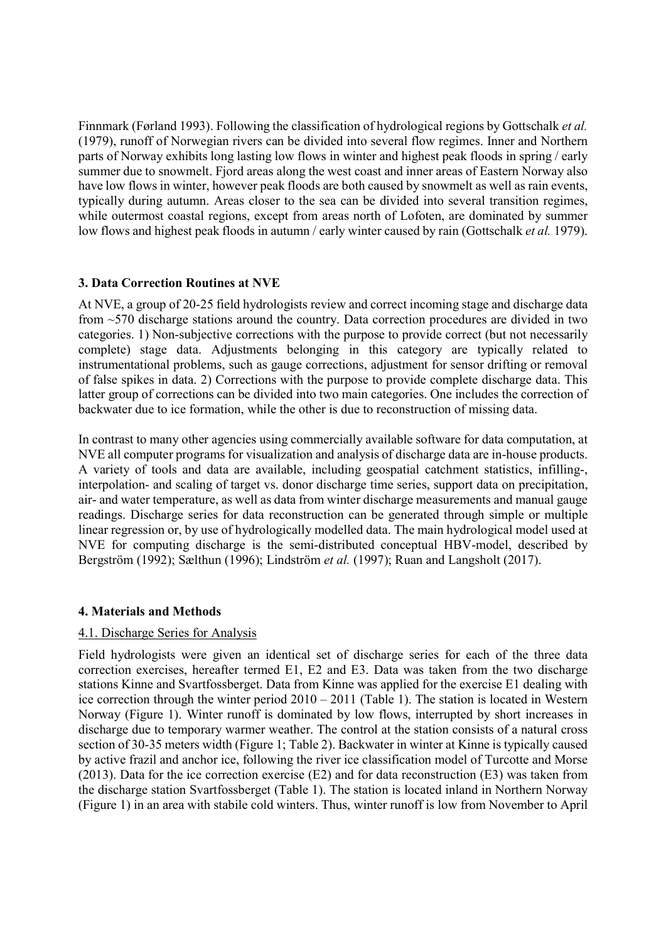Finnmark (Førland 1993). Following the classification of hydrological regions by Gottschalk et al. (1979), runoff of Norwegian rivers can be divided into several flow regimes. Inner and Northern parts of Norway exhibits long lasting low flows in winter and highest peak floods in spring / early summer due to snowmelt. Fjord areas along the west coast and inner areas of Eastern Norway also have low flows in winter, however peak floods are both caused by snowmelt as well as rain events, typically during autumn. Areas closer to the sea can be divided into several transition regimes, while outermost coastal regions, except from areas north of Lofoten, are dominated by summer low flows and highest peak floods in autumn / early winter caused by rain (Gottschalk *et al.* 1979).

# 3. Data Correction Routines at NVE

At NVE, a group of 20-25 field hydrologists review and correct incoming stage and discharge data from ~570 discharge stations around the country. Data correction procedures are divided in two categories. 1) Non-subjective corrections with the purpose to provide correct (but not necessarily complete) stage data. Adjustments belonging in this category are typically related to instrumentational problems, such as gauge corrections, adjustment for sensor drifting or removal of false spikes in data. 2) Corrections with the purpose to provide complete discharge data. This latter group of corrections can be divided into two main categories. One includes the correction of backwater due to ice formation, while the other is due to reconstruction of missing data.

In contrast to many other agencies using commercially available software for data computation, at NVE all computer programs for visualization and analysis of discharge data are in-house products. A variety of tools and data are available, including geospatial catchment statistics, infilling-, interpolation- and scaling of target vs. donor discharge time series, support data on precipitation, air- and water temperature, as well as data from winter discharge measurements and manual gauge readings. Discharge series for data reconstruction can be generated through simple or multiple linear regression or, by use of hydrologically modelled data. The main hydrological model used at NVE for computing discharge is the semi-distributed conceptual HBV-model, described by Bergström (1992); Sælthun (1996); Lindström et al. (1997); Ruan and Langsholt (2017).

# 4. Materials and Methods

# 4.1. Discharge Series for Analysis

Field hydrologists were given an identical set of discharge series for each of the three data correction exercises, hereafter termed E1, E2 and E3. Data was taken from the two discharge stations Kinne and Svartfossberget. Data from Kinne was applied for the exercise E1 dealing with ice correction through the winter period 2010 – 2011 (Table 1). The station is located in Western Norway (Figure 1). Winter runoff is dominated by low flows, interrupted by short increases in discharge due to temporary warmer weather. The control at the station consists of a natural cross section of 30-35 meters width (Figure 1; Table 2). Backwater in winter at Kinne is typically caused by active frazil and anchor ice, following the river ice classification model of Turcotte and Morse (2013). Data for the ice correction exercise (E2) and for data reconstruction (E3) was taken from the discharge station Svartfossberget (Table 1). The station is located inland in Northern Norway (Figure 1) in an area with stabile cold winters. Thus, winter runoff is low from November to April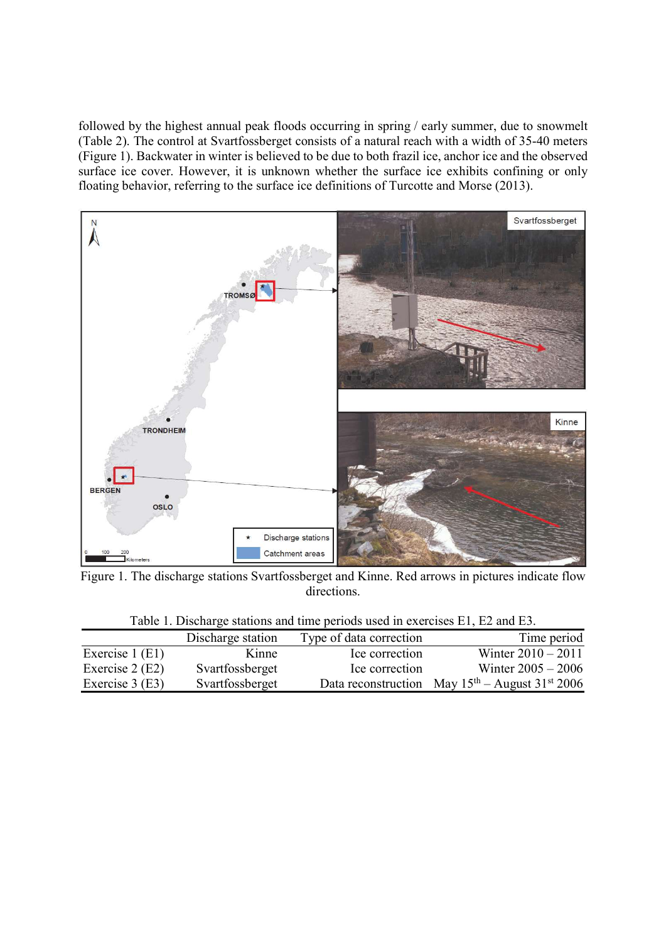followed by the highest annual peak floods occurring in spring / early summer, due to snowmelt (Table 2). The control at Svartfossberget consists of a natural reach with a width of 35-40 meters (Figure 1). Backwater in winter is believed to be due to both frazil ice, anchor ice and the observed surface ice cover. However, it is unknown whether the surface ice exhibits confining or only floating behavior, referring to the surface ice definitions of Turcotte and Morse (2013).



Figure 1. The discharge stations Svartfossberget and Kinne. Red arrows in pictures indicate flow directions.

| Twore it Dibental Countering and thire periods about in extensions ET, Extra ED. |                   |                         |                                                     |  |  |  |
|----------------------------------------------------------------------------------|-------------------|-------------------------|-----------------------------------------------------|--|--|--|
|                                                                                  | Discharge station | Type of data correction | Time period                                         |  |  |  |
| Exercise $1$ (E1)                                                                | Kinne             | Ice correction          | Winter $2010 - 2011$                                |  |  |  |
| Exercise $2(E2)$                                                                 | Svartfossberget   | Ice correction          | Winter $2005 - 2006$                                |  |  |  |
| Exercise $3(E3)$                                                                 | Svartfossberget   |                         | Data reconstruction May $15th$ – August $31st$ 2006 |  |  |  |

Table 1. Discharge stations and time periods used in exercises E1, E2 and E3.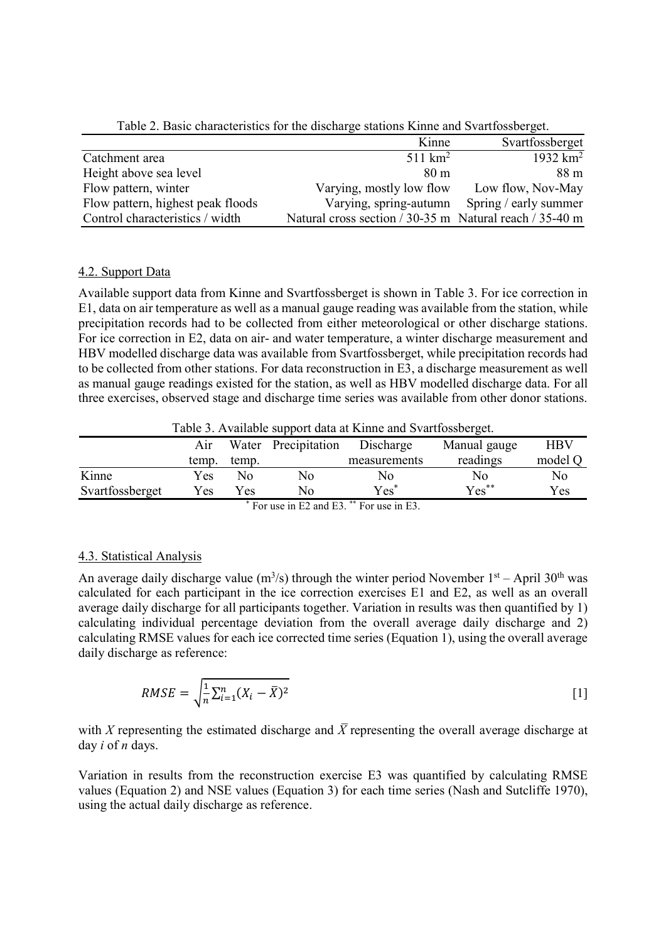|                                   | Kinne                                                   | Svartfossberget       |
|-----------------------------------|---------------------------------------------------------|-----------------------|
| Catchment area                    | $511 \text{ km}^2$                                      | 1932 $km^2$           |
| Height above sea level            | 80 <sub>m</sub>                                         | 88 <sub>m</sub>       |
| Flow pattern, winter              | Varying, mostly low flow                                | Low flow, Nov-May     |
| Flow pattern, highest peak floods | Varying, spring-autumn                                  | Spring / early summer |
| Control characteristics / width   | Natural cross section / 30-35 m Natural reach / 35-40 m |                       |

Table 2. Basic characteristics for the discharge stations Kinne and Svartfossberget.

### 4.2. Support Data

Available support data from Kinne and Svartfossberget is shown in Table 3. For ice correction in E1, data on air temperature as well as a manual gauge reading was available from the station, while precipitation records had to be collected from either meteorological or other discharge stations. For ice correction in E2, data on air- and water temperature, a winter discharge measurement and HBV modelled discharge data was available from Svartfossberget, while precipitation records had to be collected from other stations. For data reconstruction in E3, a discharge measurement as well as manual gauge readings existed for the station, as well as HBV modelled discharge data. For all three exercises, observed stage and discharge time series was available from other donor stations.

Table 3. Available support data at Kinne and Svartfossberget.

|                                             | Air   |       | Water Precipitation | Discharge    | Manual gauge | <b>HBV</b> |  |
|---------------------------------------------|-------|-------|---------------------|--------------|--------------|------------|--|
|                                             | temp. | temp. |                     | measurements | readings     | model Q    |  |
| Kinne                                       | Yes   | Nο    | No                  | No           | No           | No         |  |
| Svartfossberget                             | Yes   | Yes   | No                  | $Yes^*$      | Yes**        | Yes        |  |
| $*$ For use in F2 and F3 $**$ For use in F3 |       |       |                     |              |              |            |  |

For use in E2 and E3. \*\* For use in E3.

# 4.3. Statistical Analysis

An average daily discharge value ( $\text{m}^3$ /s) through the winter period November 1<sup>st</sup> – April 30<sup>th</sup> was calculated for each participant in the ice correction exercises E1 and E2, as well as an overall average daily discharge for all participants together. Variation in results was then quantified by 1) calculating individual percentage deviation from the overall average daily discharge and 2) calculating RMSE values for each ice corrected time series (Equation 1), using the overall average daily discharge as reference:

$$
RMSE = \sqrt{\frac{1}{n} \sum_{i=1}^{n} (X_i - \bar{X})^2}
$$
 [1]

with X representing the estimated discharge and  $\bar{X}$  representing the overall average discharge at day *i* of *n* days.

Variation in results from the reconstruction exercise E3 was quantified by calculating RMSE values (Equation 2) and NSE values (Equation 3) for each time series (Nash and Sutcliffe 1970), using the actual daily discharge as reference.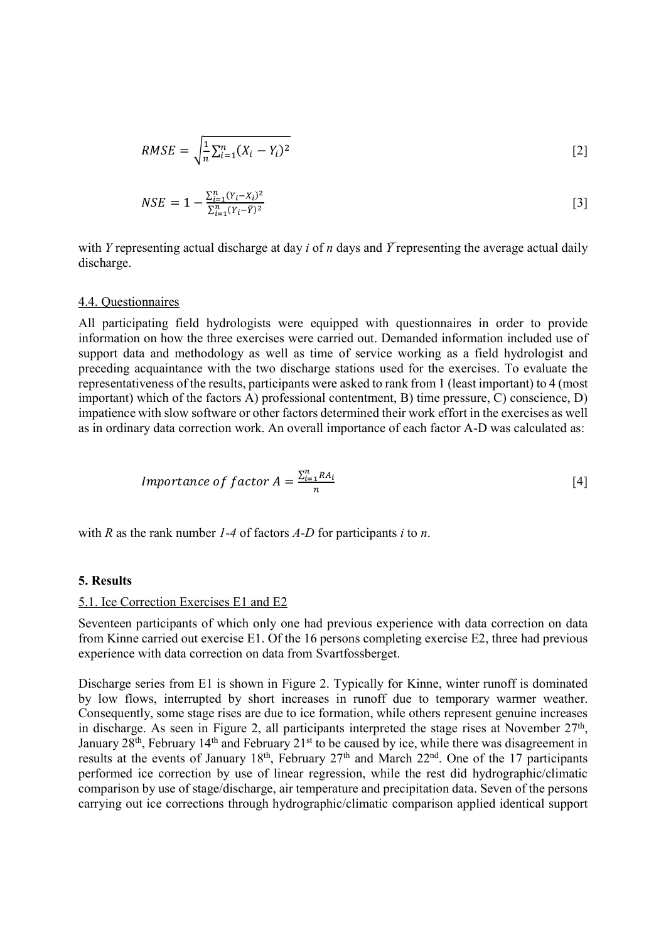$$
RMSE = \sqrt{\frac{1}{n} \sum_{i=1}^{n} (X_i - Y_i)^2}
$$
 [2]

$$
NSE = 1 - \frac{\sum_{i=1}^{n} (Y_i - X_i)^2}{\sum_{i=1}^{n} (Y_i - \bar{Y})^2}
$$
 [3]

with Y representing actual discharge at day i of n days and  $\bar{Y}$  representing the average actual daily discharge.

#### 4.4. Questionnaires

All participating field hydrologists were equipped with questionnaires in order to provide information on how the three exercises were carried out. Demanded information included use of support data and methodology as well as time of service working as a field hydrologist and preceding acquaintance with the two discharge stations used for the exercises. To evaluate the representativeness of the results, participants were asked to rank from 1 (least important) to 4 (most important) which of the factors A) professional contentment, B) time pressure, C) conscience, D) impatience with slow software or other factors determined their work effort in the exercises as well as in ordinary data correction work. An overall importance of each factor A-D was calculated as:

*Importance of factor* 
$$
A = \frac{\sum_{i=1}^{n} RA_i}{n}
$$
 [4]

with R as the rank number  $1-4$  of factors  $A-D$  for participants i to n.

#### 5. Results

#### 5.1. Ice Correction Exercises E1 and E2

Seventeen participants of which only one had previous experience with data correction on data from Kinne carried out exercise E1. Of the 16 persons completing exercise E2, three had previous experience with data correction on data from Svartfossberget.

Discharge series from E1 is shown in Figure 2. Typically for Kinne, winter runoff is dominated by low flows, interrupted by short increases in runoff due to temporary warmer weather. Consequently, some stage rises are due to ice formation, while others represent genuine increases in discharge. As seen in Figure 2, all participants interpreted the stage rises at November  $27<sup>th</sup>$ , January 28<sup>th</sup>, February 14<sup>th</sup> and February 21<sup>st</sup> to be caused by ice, while there was disagreement in results at the events of January  $18<sup>th</sup>$ , February  $27<sup>th</sup>$  and March  $22<sup>nd</sup>$ . One of the 17 participants performed ice correction by use of linear regression, while the rest did hydrographic/climatic comparison by use of stage/discharge, air temperature and precipitation data. Seven of the persons carrying out ice corrections through hydrographic/climatic comparison applied identical support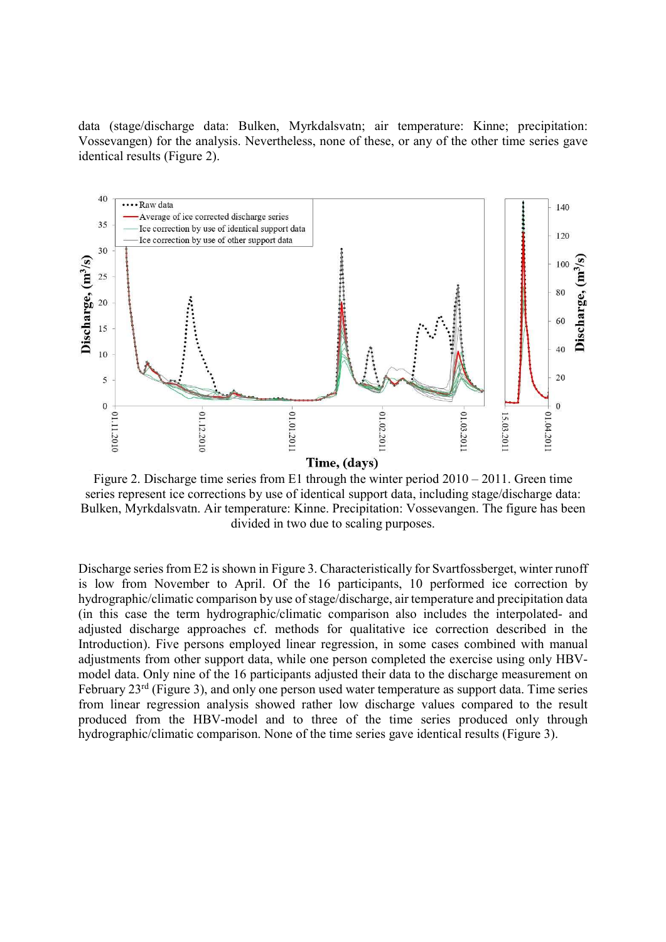data (stage/discharge data: Bulken, Myrkdalsvatn; air temperature: Kinne; precipitation: Vossevangen) for the analysis. Nevertheless, none of these, or any of the other time series gave identical results (Figure 2).



Figure 2. Discharge time series from E1 through the winter period 2010 – 2011. Green time series represent ice corrections by use of identical support data, including stage/discharge data: Bulken, Myrkdalsvatn. Air temperature: Kinne. Precipitation: Vossevangen. The figure has been divided in two due to scaling purposes.

Discharge series from E2 is shown in Figure 3. Characteristically for Svartfossberget, winter runoff is low from November to April. Of the 16 participants, 10 performed ice correction by hydrographic/climatic comparison by use of stage/discharge, air temperature and precipitation data (in this case the term hydrographic/climatic comparison also includes the interpolated- and adjusted discharge approaches cf. methods for qualitative ice correction described in the Introduction). Five persons employed linear regression, in some cases combined with manual adjustments from other support data, while one person completed the exercise using only HBVmodel data. Only nine of the 16 participants adjusted their data to the discharge measurement on February 23rd (Figure 3), and only one person used water temperature as support data. Time series from linear regression analysis showed rather low discharge values compared to the result produced from the HBV-model and to three of the time series produced only through hydrographic/climatic comparison. None of the time series gave identical results (Figure 3).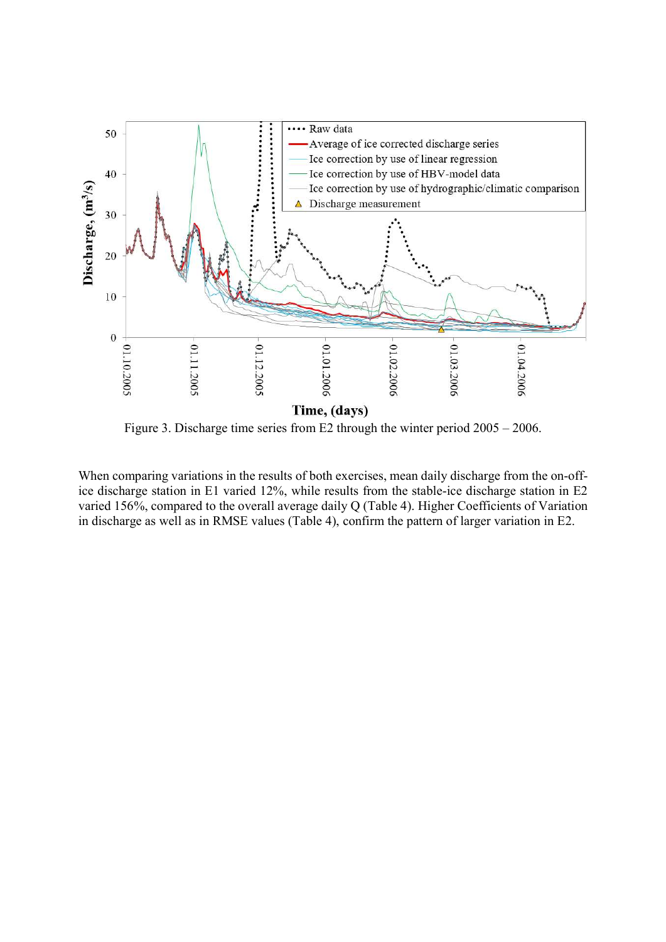

Figure 3. Discharge time series from E2 through the winter period 2005 – 2006.

When comparing variations in the results of both exercises, mean daily discharge from the on-office discharge station in E1 varied 12%, while results from the stable-ice discharge station in E2 varied 156%, compared to the overall average daily Q (Table 4). Higher Coefficients of Variation in discharge as well as in RMSE values (Table 4), confirm the pattern of larger variation in E2.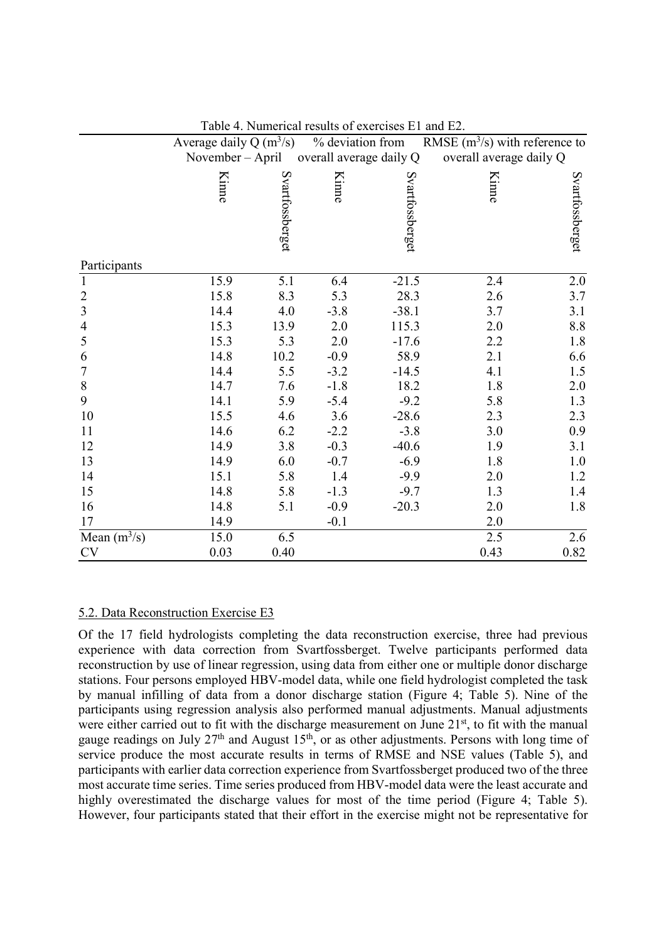|                | Average daily Q $(m^3/s)$ |                 | % deviation from        |                 | RMSE $(m^3/s)$ with reference to |                 |
|----------------|---------------------------|-----------------|-------------------------|-----------------|----------------------------------|-----------------|
|                | November – April          |                 | overall average daily Q |                 | overall average daily Q          |                 |
|                | Kinne                     | Svartfossberget | <b>Kinne</b>            | Svartfossberget | Kinne                            | Svartfossberget |
| Participants   |                           |                 |                         |                 |                                  |                 |
| $\mathbf{1}$   | 15.9                      | 5.1             | 6.4                     | $-21.5$         | 2.4                              | $2.0\,$         |
| $\frac{2}{3}$  | 15.8                      | 8.3             | 5.3                     | 28.3            | 2.6                              | 3.7             |
|                | 14.4                      | 4.0             | $-3.8$                  | $-38.1$         | 3.7                              | 3.1             |
| 4              | 15.3                      | 13.9            | 2.0                     | 115.3           | 2.0                              | 8.8             |
| 5              | 15.3                      | 5.3             | 2.0                     | $-17.6$         | 2.2                              | 1.8             |
| 6              | 14.8                      | 10.2            | $-0.9$                  | 58.9            | 2.1                              | 6.6             |
| 7              | 14.4                      | 5.5             | $-3.2$                  | $-14.5$         | 4.1                              | 1.5             |
| 8              | 14.7                      | 7.6             | $-1.8$                  | 18.2            | 1.8                              | 2.0             |
| 9              | 14.1                      | 5.9             | $-5.4$                  | $-9.2$          | 5.8                              | 1.3             |
| 10             | 15.5                      | 4.6             | 3.6                     | $-28.6$         | 2.3                              | 2.3             |
| 11             | 14.6                      | 6.2             | $-2.2$                  | $-3.8$          | 3.0                              | 0.9             |
| 12             | 14.9                      | 3.8             | $-0.3$                  | $-40.6$         | 1.9                              | 3.1             |
| 13             | 14.9                      | 6.0             | $-0.7$                  | $-6.9$          | 1.8                              | 1.0             |
| 14             | 15.1                      | 5.8             | 1.4                     | $-9.9$          | 2.0                              | 1.2             |
| 15             | 14.8                      | 5.8             | $-1.3$                  | $-9.7$          | 1.3                              | 1.4             |
| 16             | 14.8                      | 5.1             | $-0.9$                  | $-20.3$         | 2.0                              | 1.8             |
| 17             | 14.9                      |                 | $-0.1$                  |                 | 2.0                              |                 |
| Mean $(m^3/s)$ | 15.0                      | 6.5             |                         |                 | 2.5                              | 2.6             |
| CV             | 0.03                      | 0.40            |                         |                 | 0.43                             | 0.82            |

Table 4. Numerical results of exercises E1 and E2.

#### 5.2. Data Reconstruction Exercise E3

Of the 17 field hydrologists completing the data reconstruction exercise, three had previous experience with data correction from Svartfossberget. Twelve participants performed data reconstruction by use of linear regression, using data from either one or multiple donor discharge stations. Four persons employed HBV-model data, while one field hydrologist completed the task by manual infilling of data from a donor discharge station (Figure 4; Table 5). Nine of the participants using regression analysis also performed manual adjustments. Manual adjustments were either carried out to fit with the discharge measurement on June 21<sup>st</sup>, to fit with the manual gauge readings on July 27<sup>th</sup> and August 15<sup>th</sup>, or as other adjustments. Persons with long time of service produce the most accurate results in terms of RMSE and NSE values (Table 5), and participants with earlier data correction experience from Svartfossberget produced two of the three most accurate time series. Time series produced from HBV-model data were the least accurate and highly overestimated the discharge values for most of the time period (Figure 4; Table 5). However, four participants stated that their effort in the exercise might not be representative for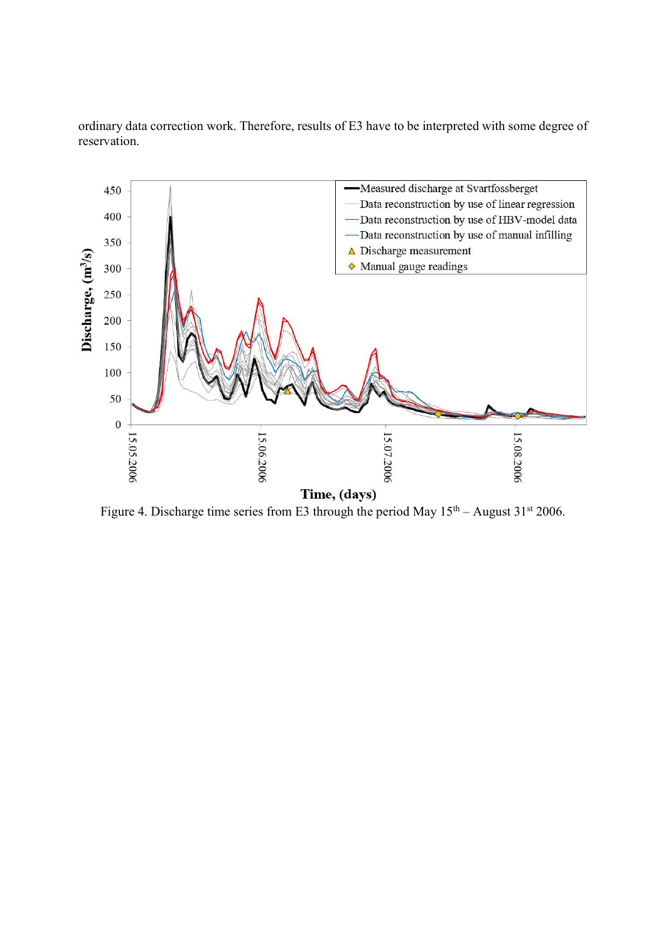ordinary data correction work. Therefore, results of E3 have to be interpreted with some degree of reservation.



Figure 4. Discharge time series from E3 through the period May  $15<sup>th</sup> -$  August  $31<sup>st</sup>$  2006.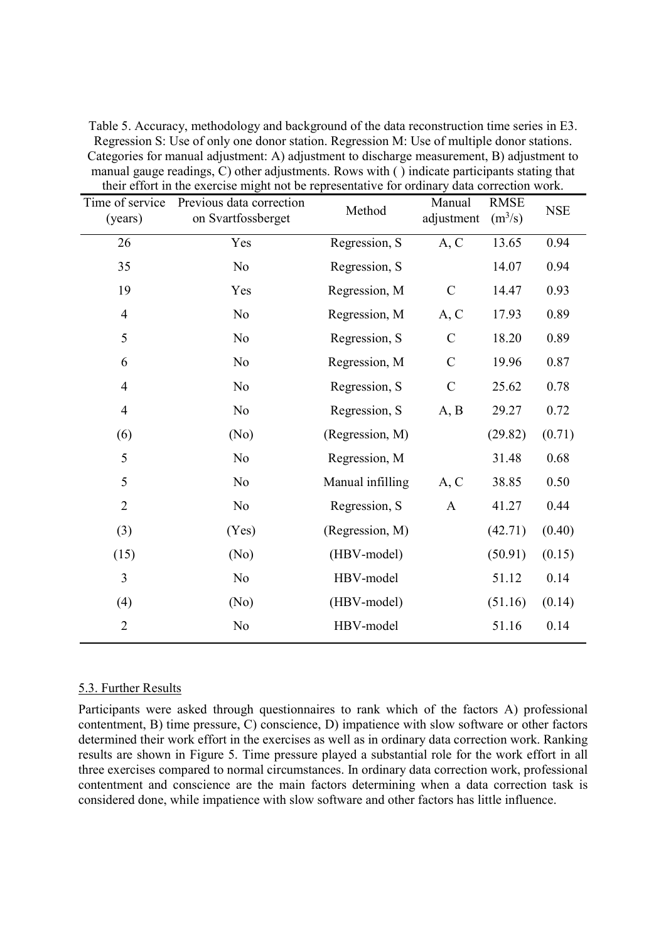| their effort in the exercise might not be representative for ordinary data correction work. |                                                |                  |                      |                          |            |  |  |  |
|---------------------------------------------------------------------------------------------|------------------------------------------------|------------------|----------------------|--------------------------|------------|--|--|--|
| Time of service<br>(years)                                                                  | Previous data correction<br>on Svartfossberget | Method           | Manual<br>adjustment | <b>RMSE</b><br>$(m^3/s)$ | <b>NSE</b> |  |  |  |
| 26                                                                                          | Yes                                            | Regression, S    | A, C                 | 13.65                    | 0.94       |  |  |  |
| 35                                                                                          | N <sub>o</sub>                                 | Regression, S    |                      | 14.07                    | 0.94       |  |  |  |
| 19                                                                                          | Yes                                            | Regression, M    | $\mathcal{C}$        | 14.47                    | 0.93       |  |  |  |
| $\overline{4}$                                                                              | No                                             | Regression, M    | A, C                 | 17.93                    | 0.89       |  |  |  |
| 5                                                                                           | No                                             | Regression, S    | $\mathcal{C}$        | 18.20                    | 0.89       |  |  |  |
| 6                                                                                           | No                                             | Regression, M    | $\mathcal{C}$        | 19.96                    | 0.87       |  |  |  |
| $\overline{4}$                                                                              | No                                             | Regression, S    | $\mathcal{C}$        | 25.62                    | 0.78       |  |  |  |
| $\overline{4}$                                                                              | N <sub>o</sub>                                 | Regression, S    | A, B                 | 29.27                    | 0.72       |  |  |  |
| (6)                                                                                         | (No)                                           | (Regression, M)  |                      | (29.82)                  | (0.71)     |  |  |  |
| 5                                                                                           | N <sub>o</sub>                                 | Regression, M    |                      | 31.48                    | 0.68       |  |  |  |
| 5                                                                                           | No                                             | Manual infilling | A, C                 | 38.85                    | 0.50       |  |  |  |
| $\mathbf{2}$                                                                                | N <sub>o</sub>                                 | Regression, S    | $\mathbf{A}$         | 41.27                    | 0.44       |  |  |  |
| (3)                                                                                         | (Yes)                                          | (Regression, M)  |                      | (42.71)                  | (0.40)     |  |  |  |
| (15)                                                                                        | (No)                                           | (HBV-model)      |                      | (50.91)                  | (0.15)     |  |  |  |
| $\overline{3}$                                                                              | N <sub>o</sub>                                 | HBV-model        |                      | 51.12                    | 0.14       |  |  |  |
| (4)                                                                                         | (No)                                           | (HBV-model)      |                      | (51.16)                  | (0.14)     |  |  |  |
| $\overline{2}$                                                                              | No                                             | HBV-model        |                      | 51.16                    | 0.14       |  |  |  |
|                                                                                             |                                                |                  |                      |                          |            |  |  |  |

Table 5. Accuracy, methodology and background of the data reconstruction time series in E3. Regression S: Use of only one donor station. Regression M: Use of multiple donor stations. Categories for manual adjustment: A) adjustment to discharge measurement, B) adjustment to manual gauge readings, C) other adjustments. Rows with ( ) indicate participants stating that their effort in the exercise might not be representative for ordinary data correction work.

#### 5.3. Further Results

Participants were asked through questionnaires to rank which of the factors A) professional contentment, B) time pressure, C) conscience, D) impatience with slow software or other factors determined their work effort in the exercises as well as in ordinary data correction work. Ranking results are shown in Figure 5. Time pressure played a substantial role for the work effort in all three exercises compared to normal circumstances. In ordinary data correction work, professional contentment and conscience are the main factors determining when a data correction task is considered done, while impatience with slow software and other factors has little influence.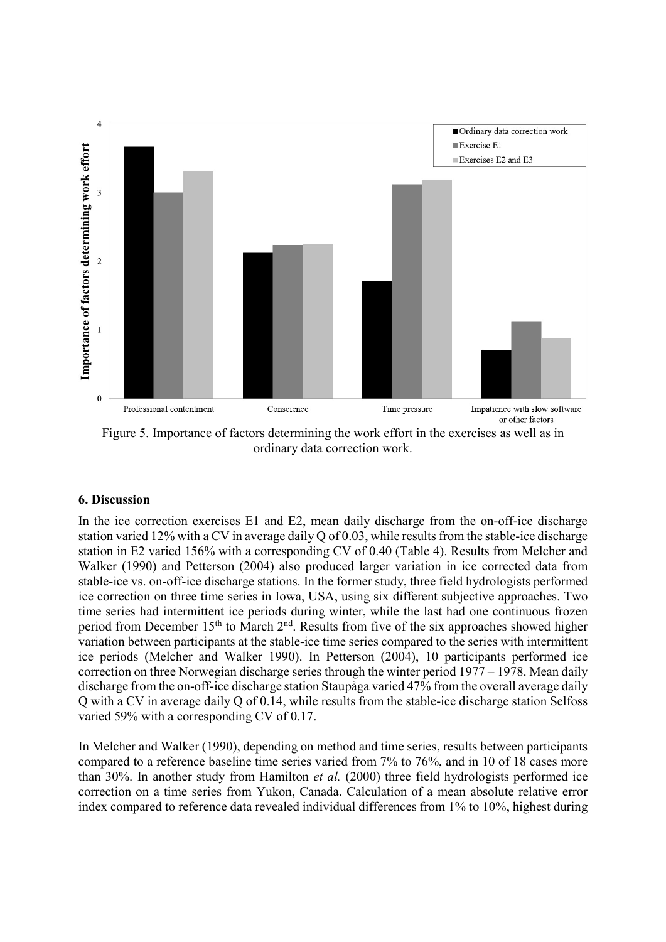

Figure 5. Importance of factors determining the work effort in the exercises as well as in ordinary data correction work.

# 6. Discussion

In the ice correction exercises E1 and E2, mean daily discharge from the on-off-ice discharge station varied 12% with a CV in average daily Q of 0.03, while results from the stable-ice discharge station in E2 varied 156% with a corresponding CV of 0.40 (Table 4). Results from Melcher and Walker (1990) and Petterson (2004) also produced larger variation in ice corrected data from stable-ice vs. on-off-ice discharge stations. In the former study, three field hydrologists performed ice correction on three time series in Iowa, USA, using six different subjective approaches. Two time series had intermittent ice periods during winter, while the last had one continuous frozen period from December 15<sup>th</sup> to March 2<sup>nd</sup>. Results from five of the six approaches showed higher variation between participants at the stable-ice time series compared to the series with intermittent ice periods (Melcher and Walker 1990). In Petterson (2004), 10 participants performed ice correction on three Norwegian discharge series through the winter period 1977 – 1978. Mean daily discharge from the on-off-ice discharge station Staupåga varied 47% from the overall average daily Q with a CV in average daily Q of 0.14, while results from the stable-ice discharge station Selfoss varied 59% with a corresponding CV of 0.17.

In Melcher and Walker (1990), depending on method and time series, results between participants compared to a reference baseline time series varied from 7% to 76%, and in 10 of 18 cases more than 30%. In another study from Hamilton et al. (2000) three field hydrologists performed ice correction on a time series from Yukon, Canada. Calculation of a mean absolute relative error index compared to reference data revealed individual differences from 1% to 10%, highest during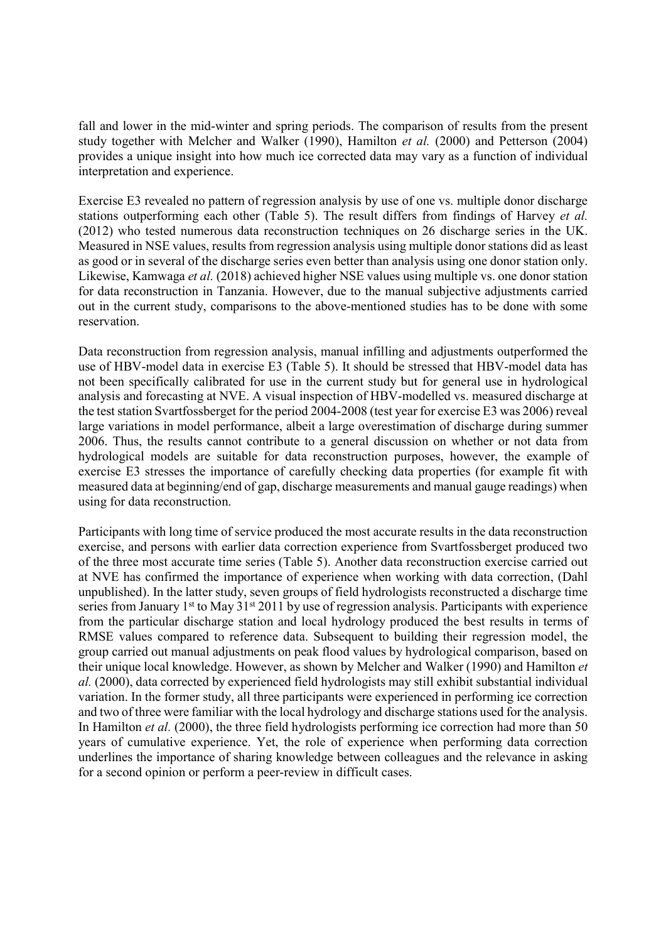fall and lower in the mid-winter and spring periods. The comparison of results from the present study together with Melcher and Walker (1990), Hamilton et al. (2000) and Petterson (2004) provides a unique insight into how much ice corrected data may vary as a function of individual interpretation and experience.

Exercise E3 revealed no pattern of regression analysis by use of one vs. multiple donor discharge stations outperforming each other (Table 5). The result differs from findings of Harvey et al. (2012) who tested numerous data reconstruction techniques on 26 discharge series in the UK. Measured in NSE values, results from regression analysis using multiple donor stations did as least as good or in several of the discharge series even better than analysis using one donor station only. Likewise, Kamwaga et al. (2018) achieved higher NSE values using multiple vs. one donor station for data reconstruction in Tanzania. However, due to the manual subjective adjustments carried out in the current study, comparisons to the above-mentioned studies has to be done with some reservation.

Data reconstruction from regression analysis, manual infilling and adjustments outperformed the use of HBV-model data in exercise E3 (Table 5). It should be stressed that HBV-model data has not been specifically calibrated for use in the current study but for general use in hydrological analysis and forecasting at NVE. A visual inspection of HBV-modelled vs. measured discharge at the test station Svartfossberget for the period 2004-2008 (test year for exercise E3 was 2006) reveal large variations in model performance, albeit a large overestimation of discharge during summer 2006. Thus, the results cannot contribute to a general discussion on whether or not data from hydrological models are suitable for data reconstruction purposes, however, the example of exercise E3 stresses the importance of carefully checking data properties (for example fit with measured data at beginning/end of gap, discharge measurements and manual gauge readings) when using for data reconstruction.

Participants with long time of service produced the most accurate results in the data reconstruction exercise, and persons with earlier data correction experience from Svartfossberget produced two of the three most accurate time series (Table 5). Another data reconstruction exercise carried out at NVE has confirmed the importance of experience when working with data correction, (Dahl unpublished). In the latter study, seven groups of field hydrologists reconstructed a discharge time series from January 1<sup>st</sup> to May 31<sup>st</sup> 2011 by use of regression analysis. Participants with experience from the particular discharge station and local hydrology produced the best results in terms of RMSE values compared to reference data. Subsequent to building their regression model, the group carried out manual adjustments on peak flood values by hydrological comparison, based on their unique local knowledge. However, as shown by Melcher and Walker (1990) and Hamilton et al. (2000), data corrected by experienced field hydrologists may still exhibit substantial individual variation. In the former study, all three participants were experienced in performing ice correction and two of three were familiar with the local hydrology and discharge stations used for the analysis. In Hamilton et al. (2000), the three field hydrologists performing ice correction had more than 50 years of cumulative experience. Yet, the role of experience when performing data correction underlines the importance of sharing knowledge between colleagues and the relevance in asking for a second opinion or perform a peer-review in difficult cases.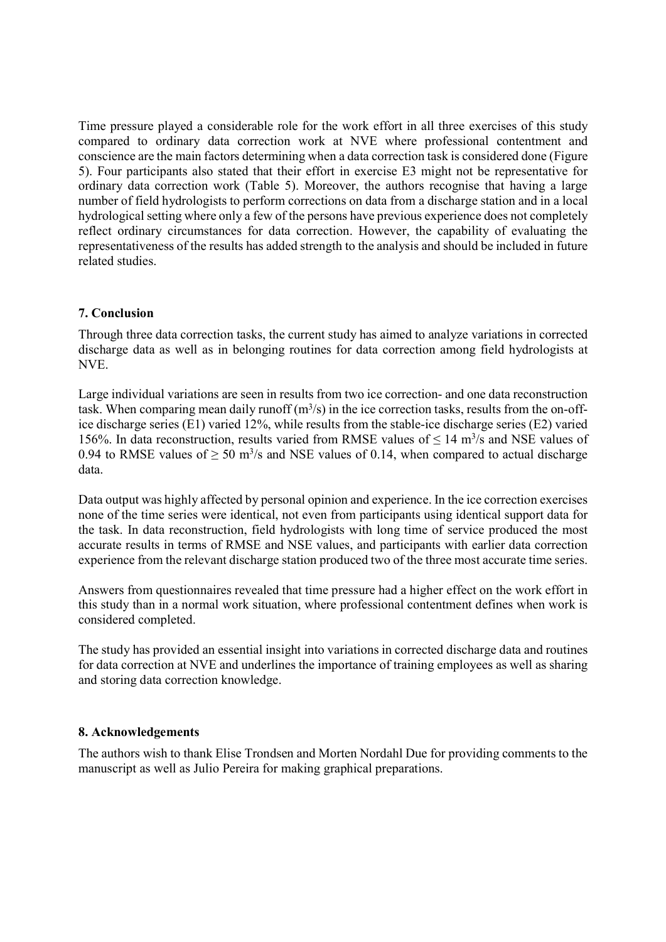Time pressure played a considerable role for the work effort in all three exercises of this study compared to ordinary data correction work at NVE where professional contentment and conscience are the main factors determining when a data correction task is considered done (Figure 5). Four participants also stated that their effort in exercise E3 might not be representative for ordinary data correction work (Table 5). Moreover, the authors recognise that having a large number of field hydrologists to perform corrections on data from a discharge station and in a local hydrological setting where only a few of the persons have previous experience does not completely reflect ordinary circumstances for data correction. However, the capability of evaluating the representativeness of the results has added strength to the analysis and should be included in future related studies.

# 7. Conclusion

Through three data correction tasks, the current study has aimed to analyze variations in corrected discharge data as well as in belonging routines for data correction among field hydrologists at NVE.

Large individual variations are seen in results from two ice correction- and one data reconstruction task. When comparing mean daily runoff  $(m<sup>3</sup>/s)$  in the ice correction tasks, results from the on-office discharge series (E1) varied 12%, while results from the stable-ice discharge series (E2) varied 156%. In data reconstruction, results varied from RMSE values of  $\leq 14$  m<sup>3</sup>/s and NSE values of 0.94 to RMSE values of  $\geq 50$  m<sup>3</sup>/s and NSE values of 0.14, when compared to actual discharge data.

Data output was highly affected by personal opinion and experience. In the ice correction exercises none of the time series were identical, not even from participants using identical support data for the task. In data reconstruction, field hydrologists with long time of service produced the most accurate results in terms of RMSE and NSE values, and participants with earlier data correction experience from the relevant discharge station produced two of the three most accurate time series.

Answers from questionnaires revealed that time pressure had a higher effect on the work effort in this study than in a normal work situation, where professional contentment defines when work is considered completed.

The study has provided an essential insight into variations in corrected discharge data and routines for data correction at NVE and underlines the importance of training employees as well as sharing and storing data correction knowledge.

# 8. Acknowledgements

The authors wish to thank Elise Trondsen and Morten Nordahl Due for providing comments to the manuscript as well as Julio Pereira for making graphical preparations.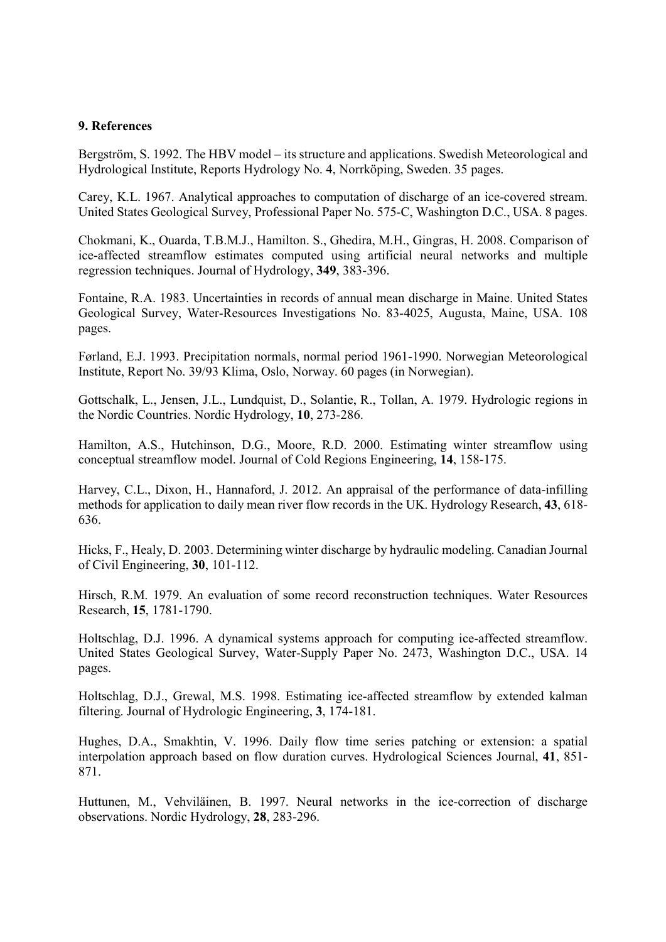### 9. References

Bergström, S. 1992. The HBV model – its structure and applications. Swedish Meteorological and Hydrological Institute, Reports Hydrology No. 4, Norrköping, Sweden. 35 pages.

Carey, K.L. 1967. Analytical approaches to computation of discharge of an ice-covered stream. United States Geological Survey, Professional Paper No. 575-C, Washington D.C., USA. 8 pages.

Chokmani, K., Ouarda, T.B.M.J., Hamilton. S., Ghedira, M.H., Gingras, H. 2008. Comparison of ice-affected streamflow estimates computed using artificial neural networks and multiple regression techniques. Journal of Hydrology, 349, 383-396.

Fontaine, R.A. 1983. Uncertainties in records of annual mean discharge in Maine. United States Geological Survey, Water-Resources Investigations No. 83-4025, Augusta, Maine, USA. 108 pages.

Førland, E.J. 1993. Precipitation normals, normal period 1961-1990. Norwegian Meteorological Institute, Report No. 39/93 Klima, Oslo, Norway. 60 pages (in Norwegian).

Gottschalk, L., Jensen, J.L., Lundquist, D., Solantie, R., Tollan, A. 1979. Hydrologic regions in the Nordic Countries. Nordic Hydrology, 10, 273-286.

Hamilton, A.S., Hutchinson, D.G., Moore, R.D. 2000. Estimating winter streamflow using conceptual streamflow model. Journal of Cold Regions Engineering, 14, 158-175.

Harvey, C.L., Dixon, H., Hannaford, J. 2012. An appraisal of the performance of data-infilling methods for application to daily mean river flow records in the UK. Hydrology Research, 43, 618- 636.

Hicks, F., Healy, D. 2003. Determining winter discharge by hydraulic modeling. Canadian Journal of Civil Engineering, 30, 101-112.

Hirsch, R.M. 1979. An evaluation of some record reconstruction techniques. Water Resources Research, 15, 1781-1790.

Holtschlag, D.J. 1996. A dynamical systems approach for computing ice-affected streamflow. United States Geological Survey, Water-Supply Paper No. 2473, Washington D.C., USA. 14 pages.

Holtschlag, D.J., Grewal, M.S. 1998. Estimating ice-affected streamflow by extended kalman filtering. Journal of Hydrologic Engineering, 3, 174-181.

Hughes, D.A., Smakhtin, V. 1996. Daily flow time series patching or extension: a spatial interpolation approach based on flow duration curves. Hydrological Sciences Journal, 41, 851- 871.

Huttunen, M., Vehviläinen, B. 1997. Neural networks in the ice-correction of discharge observations. Nordic Hydrology, 28, 283-296.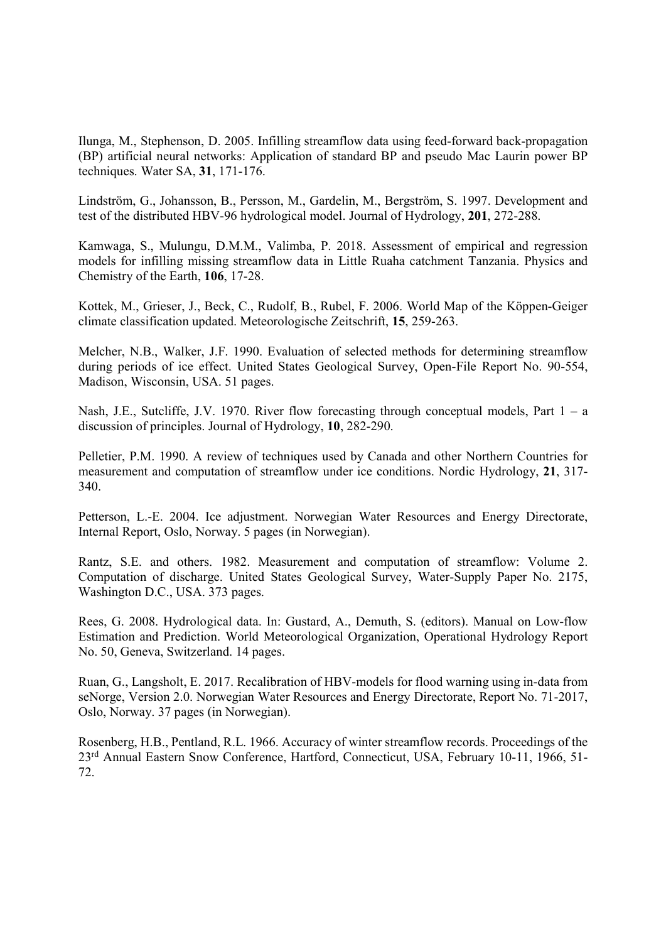Ilunga, M., Stephenson, D. 2005. Infilling streamflow data using feed-forward back-propagation (BP) artificial neural networks: Application of standard BP and pseudo Mac Laurin power BP techniques. Water SA, 31, 171-176.

Lindström, G., Johansson, B., Persson, M., Gardelin, M., Bergström, S. 1997. Development and test of the distributed HBV-96 hydrological model. Journal of Hydrology, 201, 272-288.

Kamwaga, S., Mulungu, D.M.M., Valimba, P. 2018. Assessment of empirical and regression models for infilling missing streamflow data in Little Ruaha catchment Tanzania. Physics and Chemistry of the Earth, 106, 17-28.

Kottek, M., Grieser, J., Beck, C., Rudolf, B., Rubel, F. 2006. World Map of the Köppen-Geiger climate classification updated. Meteorologische Zeitschrift, 15, 259-263.

Melcher, N.B., Walker, J.F. 1990. Evaluation of selected methods for determining streamflow during periods of ice effect. United States Geological Survey, Open-File Report No. 90-554, Madison, Wisconsin, USA. 51 pages.

Nash, J.E., Sutcliffe, J.V. 1970. River flow forecasting through conceptual models, Part  $1 - a$ discussion of principles. Journal of Hydrology, 10, 282-290.

Pelletier, P.M. 1990. A review of techniques used by Canada and other Northern Countries for measurement and computation of streamflow under ice conditions. Nordic Hydrology, 21, 317- 340.

Petterson, L.-E. 2004. Ice adjustment. Norwegian Water Resources and Energy Directorate, Internal Report, Oslo, Norway. 5 pages (in Norwegian).

Rantz, S.E. and others. 1982. Measurement and computation of streamflow: Volume 2. Computation of discharge. United States Geological Survey, Water-Supply Paper No. 2175, Washington D.C., USA. 373 pages.

Rees, G. 2008. Hydrological data. In: Gustard, A., Demuth, S. (editors). Manual on Low-flow Estimation and Prediction. World Meteorological Organization, Operational Hydrology Report No. 50, Geneva, Switzerland. 14 pages.

Ruan, G., Langsholt, E. 2017. Recalibration of HBV-models for flood warning using in-data from seNorge, Version 2.0. Norwegian Water Resources and Energy Directorate, Report No. 71-2017, Oslo, Norway. 37 pages (in Norwegian).

Rosenberg, H.B., Pentland, R.L. 1966. Accuracy of winter streamflow records. Proceedings of the 23rd Annual Eastern Snow Conference, Hartford, Connecticut, USA, February 10-11, 1966, 51- 72.